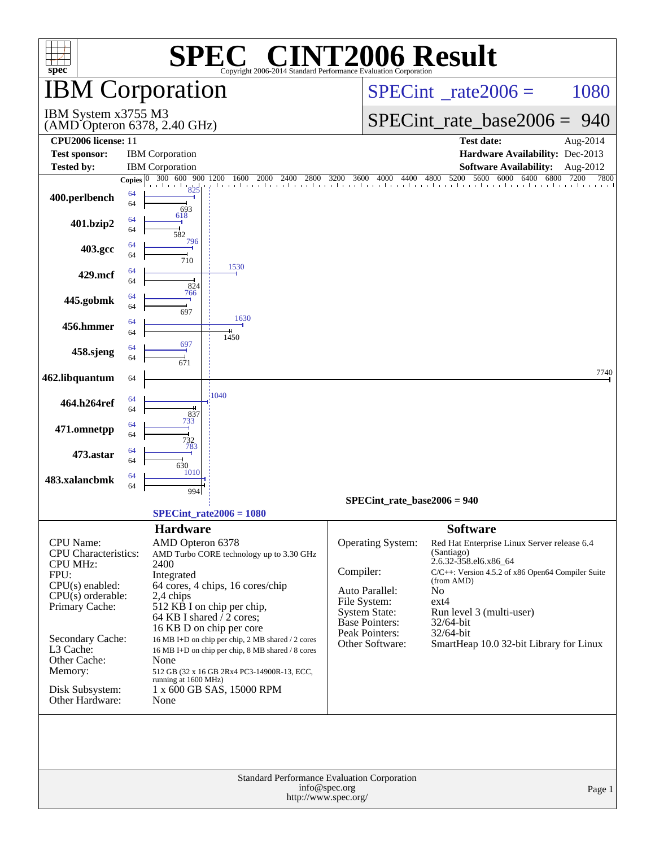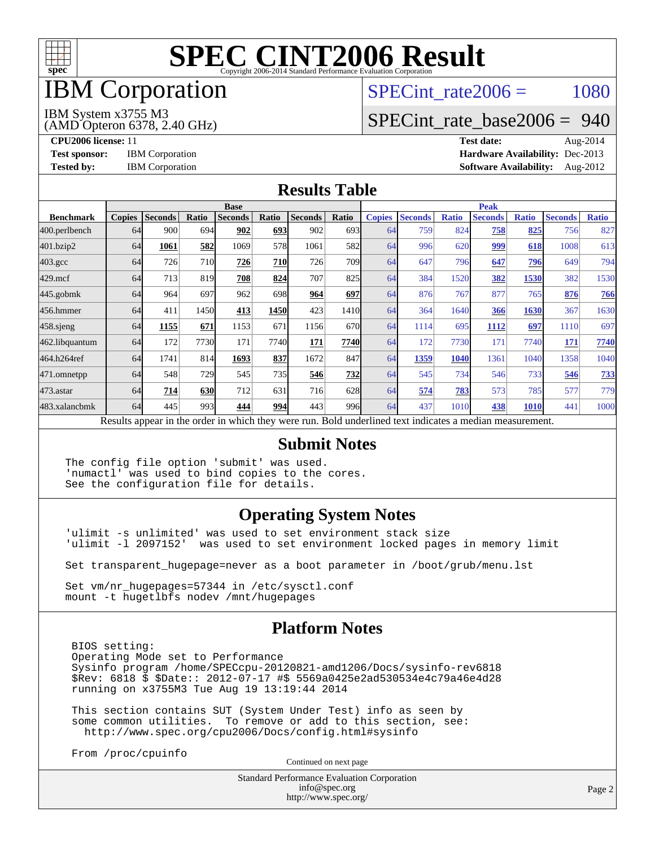

## IBM Corporation

SPECint rate $2006 = 1080$ 

## [SPECint\\_rate\\_base2006 =](http://www.spec.org/auto/cpu2006/Docs/result-fields.html#SPECintratebase2006) 940

(AMD Opteron 6378, 2.40 GHz) IBM System x3755 M3

**[CPU2006 license:](http://www.spec.org/auto/cpu2006/Docs/result-fields.html#CPU2006license)** 11 **[Test date:](http://www.spec.org/auto/cpu2006/Docs/result-fields.html#Testdate)** Aug-2014 **[Test sponsor:](http://www.spec.org/auto/cpu2006/Docs/result-fields.html#Testsponsor)** IBM Corporation **[Hardware Availability:](http://www.spec.org/auto/cpu2006/Docs/result-fields.html#HardwareAvailability)** Dec-2013 **[Tested by:](http://www.spec.org/auto/cpu2006/Docs/result-fields.html#Testedby)** IBM Corporation **[Software Availability:](http://www.spec.org/auto/cpu2006/Docs/result-fields.html#SoftwareAvailability)** Aug-2012

#### **[Results Table](http://www.spec.org/auto/cpu2006/Docs/result-fields.html#ResultsTable)**

|                                                                                                          | <b>Base</b>   |                |            |                |            | <b>Peak</b>    |                  |               |                |              |                |              |                |              |
|----------------------------------------------------------------------------------------------------------|---------------|----------------|------------|----------------|------------|----------------|------------------|---------------|----------------|--------------|----------------|--------------|----------------|--------------|
| <b>Benchmark</b>                                                                                         | <b>Copies</b> | <b>Seconds</b> | Ratio      | <b>Seconds</b> | Ratio      | <b>Seconds</b> | Ratio            | <b>Copies</b> | <b>Seconds</b> | <b>Ratio</b> | <b>Seconds</b> | <b>Ratio</b> | <b>Seconds</b> | <b>Ratio</b> |
| 400.perlbench                                                                                            | 64            | 900            | 694        | 902            | <b>693</b> | 902            | 693I             | 64            | 759            | 824          | 758            | 825          | 756            | 827          |
| 401.bzip2                                                                                                | 64            | 1061           | 582        | 1069           | 578        | 1061           | 582l             | 64            | 996            | 620          | 999            | 618          | 1008           | 613          |
| $403.\mathrm{gcc}$                                                                                       | 64            | 726            | 710        | 726            | <b>710</b> | 726            | 709 <sub>1</sub> | 64            | 647            | 796          | 647            | 796          | 649            | 794          |
| $429$ .mcf                                                                                               | 64            | 713            | 819        | 708            | 824        | 707            | 825              | 64            | 384            | 1520         | 382            | 1530         | 382            | 1530         |
| $445$ .gobm $k$                                                                                          | 64            | 964            | 697        | 962            | 698        | 964            | 697              | 64            | 876            | 767          | 877            | 765          | 876            | 766          |
| 456.hmmer                                                                                                | 64            | 411            | 1450       | 413            | 1450       | 423            | 1410             | 64            | 364            | 1640         | 366            | 1630         | 367            | 1630         |
| $458$ .sjeng                                                                                             | 64            | 1155           | 671        | 1153           | 671        | 1156           | 670l             | 64            | 1114           | 695          | 1112           | 697          | 1110           | 697          |
| 462.libquantum                                                                                           | 64            | 172            | 7730       | 171            | 7740       | 171            | 7740             | 64            | 172            | 7730         | 171            | 7740         | 171            | 7740         |
| 464.h264ref                                                                                              | 64            | 1741           | 814        | 1693           | 837        | 1672           | 847              | 64            | 1359           | 1040         | 1361           | 1040         | 1358           | 1040         |
| 471.omnetpp                                                                                              | 64            | 548            | 729        | 545            | 735        | 546            | 732              | 64            | 545            | 734          | 546            | 733          | 546            | 733          |
| $473.$ astar                                                                                             | 64            | 714            | <b>630</b> | 712            | 631        | 716            | 628              | 64            | 574            | 783          | 573            | 785          | 577            | 779          |
| 483.xalancbmk                                                                                            | 64            | 445            | 993        | 444            | <b>994</b> | 443            | 996              | 64            | 437            | 1010         | 438            | 1010         | 441            | 1000         |
| Results appear in the order in which they were run. Bold underlined text indicates a median measurement. |               |                |            |                |            |                |                  |               |                |              |                |              |                |              |

#### **[Submit Notes](http://www.spec.org/auto/cpu2006/Docs/result-fields.html#SubmitNotes)**

The config file option 'submit' was used. 'numactl' was used to bind copies to the cores. See the configuration file for details.

#### **[Operating System Notes](http://www.spec.org/auto/cpu2006/Docs/result-fields.html#OperatingSystemNotes)**

'ulimit -s unlimited' was used to set environment stack size 'ulimit -l 2097152' was used to set environment locked pages in memory limit

Set transparent\_hugepage=never as a boot parameter in /boot/grub/menu.lst

Set vm/nr\_hugepages=57344 in /etc/sysctl.conf mount -t hugetlbfs nodev /mnt/hugepages

#### **[Platform Notes](http://www.spec.org/auto/cpu2006/Docs/result-fields.html#PlatformNotes)**

 BIOS setting: Operating Mode set to Performance Sysinfo program /home/SPECcpu-20120821-amd1206/Docs/sysinfo-rev6818 \$Rev: 6818 \$ \$Date:: 2012-07-17 #\$ 5569a0425e2ad530534e4c79a46e4d28 running on x3755M3 Tue Aug 19 13:19:44 2014

 This section contains SUT (System Under Test) info as seen by some common utilities. To remove or add to this section, see: <http://www.spec.org/cpu2006/Docs/config.html#sysinfo>

From /proc/cpuinfo

Continued on next page

Standard Performance Evaluation Corporation [info@spec.org](mailto:info@spec.org) <http://www.spec.org/>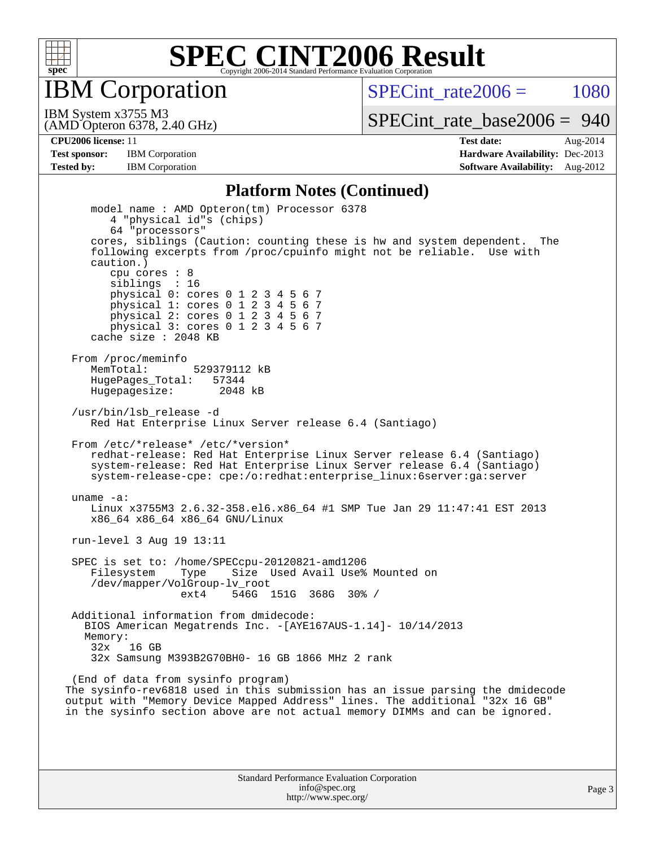

IBM Corporation

SPECint rate $2006 = 1080$ 

(AMD Opteron 6378, 2.40 GHz) IBM System x3755 M3

[SPECint\\_rate\\_base2006 =](http://www.spec.org/auto/cpu2006/Docs/result-fields.html#SPECintratebase2006) 940

**[CPU2006 license:](http://www.spec.org/auto/cpu2006/Docs/result-fields.html#CPU2006license)** 11 **[Test date:](http://www.spec.org/auto/cpu2006/Docs/result-fields.html#Testdate)** Aug-2014 **[Test sponsor:](http://www.spec.org/auto/cpu2006/Docs/result-fields.html#Testsponsor)** IBM Corporation **[Hardware Availability:](http://www.spec.org/auto/cpu2006/Docs/result-fields.html#HardwareAvailability)** Dec-2013 **[Tested by:](http://www.spec.org/auto/cpu2006/Docs/result-fields.html#Testedby)** IBM Corporation **[Software Availability:](http://www.spec.org/auto/cpu2006/Docs/result-fields.html#SoftwareAvailability)** Aug-2012

#### **[Platform Notes \(Continued\)](http://www.spec.org/auto/cpu2006/Docs/result-fields.html#PlatformNotes)**

 model name : AMD Opteron(tm) Processor 6378 4 "physical id"s (chips) 64 "processors" cores, siblings (Caution: counting these is hw and system dependent. The following excerpts from /proc/cpuinfo might not be reliable. Use with caution.) cpu cores : 8 siblings : 16 physical 0: cores 0 1 2 3 4 5 6 7 physical 1: cores 0 1 2 3 4 5 6 7 physical 2: cores 0 1 2 3 4 5 6 7 physical 3: cores 0 1 2 3 4 5 6 7 cache size : 2048 KB From /proc/meminfo MemTotal: 529379112 kB<br>HugePages Total: 57344 HugePages\_Total: 57344 Hugepagesize: 2048 kB /usr/bin/lsb\_release -d Red Hat Enterprise Linux Server release 6.4 (Santiago) From /etc/\*release\* /etc/\*version\* redhat-release: Red Hat Enterprise Linux Server release 6.4 (Santiago) system-release: Red Hat Enterprise Linux Server release 6.4 (Santiago) system-release-cpe: cpe:/o:redhat:enterprise\_linux:6server:ga:server uname -a: Linux x3755M3 2.6.32-358.el6.x86\_64 #1 SMP Tue Jan 29 11:47:41 EST 2013 x86\_64 x86\_64 x86\_64 GNU/Linux run-level 3 Aug 19 13:11 SPEC is set to: /home/SPECcpu-20120821-amd1206 Filesystem Type Size Used Avail Use% Mounted on /dev/mapper/VolGroup-lv\_root ext4 546G 151G 368G 30% / Additional information from dmidecode: BIOS American Megatrends Inc. -[AYE167AUS-1.14]- 10/14/2013 Memory: 32x 16 GB 32x Samsung M393B2G70BH0- 16 GB 1866 MHz 2 rank (End of data from sysinfo program) The sysinfo-rev6818 used in this submission has an issue parsing the dmidecode output with "Memory Device Mapped Address" lines. The additional "32x 16 GB" in the sysinfo section above are not actual memory DIMMs and can be ignored.

> Standard Performance Evaluation Corporation [info@spec.org](mailto:info@spec.org) <http://www.spec.org/>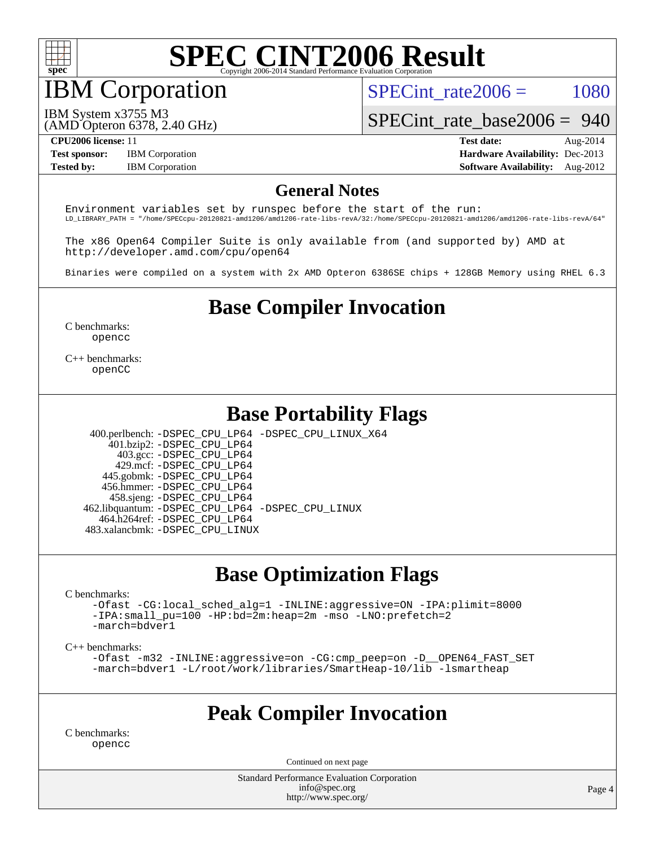

## IBM Corporation

SPECint rate $2006 = 1080$ 

[SPECint\\_rate\\_base2006 =](http://www.spec.org/auto/cpu2006/Docs/result-fields.html#SPECintratebase2006) 940

IBM System x3755 M3

(AMD Opteron 6378, 2.40 GHz)

**[Tested by:](http://www.spec.org/auto/cpu2006/Docs/result-fields.html#Testedby)** IBM Corporation **[Software Availability:](http://www.spec.org/auto/cpu2006/Docs/result-fields.html#SoftwareAvailability)** Aug-2012

**[CPU2006 license:](http://www.spec.org/auto/cpu2006/Docs/result-fields.html#CPU2006license)** 11 **[Test date:](http://www.spec.org/auto/cpu2006/Docs/result-fields.html#Testdate)** Aug-2014 **[Test sponsor:](http://www.spec.org/auto/cpu2006/Docs/result-fields.html#Testsponsor)** IBM Corporation **[Hardware Availability:](http://www.spec.org/auto/cpu2006/Docs/result-fields.html#HardwareAvailability)** Dec-2013

#### **[General Notes](http://www.spec.org/auto/cpu2006/Docs/result-fields.html#GeneralNotes)**

Environment variables set by runspec before the start of the run: LD\_LIBRARY\_PATH = "/home/SPECcpu-20120821-amd1206/amd1206-rate-libs-revA/32:/home/SPECcpu-20120821-amd1206/amd1206-rate-libs-revA/64"

The x86 Open64 Compiler Suite is only available from (and supported by) AMD at <http://developer.amd.com/cpu/open64>

Binaries were compiled on a system with 2x AMD Opteron 6386SE chips + 128GB Memory using RHEL 6.3

#### **[Base Compiler Invocation](http://www.spec.org/auto/cpu2006/Docs/result-fields.html#BaseCompilerInvocation)**

[C benchmarks](http://www.spec.org/auto/cpu2006/Docs/result-fields.html#Cbenchmarks): [opencc](http://www.spec.org/cpu2006/results/res2014q3/cpu2006-20140825-31012.flags.html#user_CCbase_Fopencc)

[C++ benchmarks:](http://www.spec.org/auto/cpu2006/Docs/result-fields.html#CXXbenchmarks) [openCC](http://www.spec.org/cpu2006/results/res2014q3/cpu2006-20140825-31012.flags.html#user_CXXbase_FopenCC)

#### **[Base Portability Flags](http://www.spec.org/auto/cpu2006/Docs/result-fields.html#BasePortabilityFlags)**

 400.perlbench: [-DSPEC\\_CPU\\_LP64](http://www.spec.org/cpu2006/results/res2014q3/cpu2006-20140825-31012.flags.html#b400.perlbench_basePORTABILITY_DSPEC_CPU_LP64) [-DSPEC\\_CPU\\_LINUX\\_X64](http://www.spec.org/cpu2006/results/res2014q3/cpu2006-20140825-31012.flags.html#b400.perlbench_baseCPORTABILITY_DSPEC_CPU_LINUX_X64) 401.bzip2: [-DSPEC\\_CPU\\_LP64](http://www.spec.org/cpu2006/results/res2014q3/cpu2006-20140825-31012.flags.html#suite_basePORTABILITY401_bzip2_DSPEC_CPU_LP64) 403.gcc: [-DSPEC\\_CPU\\_LP64](http://www.spec.org/cpu2006/results/res2014q3/cpu2006-20140825-31012.flags.html#suite_basePORTABILITY403_gcc_DSPEC_CPU_LP64) 429.mcf: [-DSPEC\\_CPU\\_LP64](http://www.spec.org/cpu2006/results/res2014q3/cpu2006-20140825-31012.flags.html#suite_basePORTABILITY429_mcf_DSPEC_CPU_LP64) 445.gobmk: [-DSPEC\\_CPU\\_LP64](http://www.spec.org/cpu2006/results/res2014q3/cpu2006-20140825-31012.flags.html#suite_basePORTABILITY445_gobmk_DSPEC_CPU_LP64) 456.hmmer: [-DSPEC\\_CPU\\_LP64](http://www.spec.org/cpu2006/results/res2014q3/cpu2006-20140825-31012.flags.html#suite_basePORTABILITY456_hmmer_DSPEC_CPU_LP64) 458.sjeng: [-DSPEC\\_CPU\\_LP64](http://www.spec.org/cpu2006/results/res2014q3/cpu2006-20140825-31012.flags.html#suite_basePORTABILITY458_sjeng_DSPEC_CPU_LP64)

 462.libquantum: [-DSPEC\\_CPU\\_LP64](http://www.spec.org/cpu2006/results/res2014q3/cpu2006-20140825-31012.flags.html#suite_basePORTABILITY462_libquantum_DSPEC_CPU_LP64) [-DSPEC\\_CPU\\_LINUX](http://www.spec.org/cpu2006/results/res2014q3/cpu2006-20140825-31012.flags.html#b462.libquantum_baseCPORTABILITY_DSPEC_CPU_LINUX) 464.h264ref: [-DSPEC\\_CPU\\_LP64](http://www.spec.org/cpu2006/results/res2014q3/cpu2006-20140825-31012.flags.html#suite_basePORTABILITY464_h264ref_DSPEC_CPU_LP64)

483.xalancbmk: [-DSPEC\\_CPU\\_LINUX](http://www.spec.org/cpu2006/results/res2014q3/cpu2006-20140825-31012.flags.html#b483.xalancbmk_baseCXXPORTABILITY_DSPEC_CPU_LINUX)

#### **[Base Optimization Flags](http://www.spec.org/auto/cpu2006/Docs/result-fields.html#BaseOptimizationFlags)**

[C benchmarks](http://www.spec.org/auto/cpu2006/Docs/result-fields.html#Cbenchmarks):

[-Ofast](http://www.spec.org/cpu2006/results/res2014q3/cpu2006-20140825-31012.flags.html#user_CCbase_F-Ofast) [-CG:local\\_sched\\_alg=1](http://www.spec.org/cpu2006/results/res2014q3/cpu2006-20140825-31012.flags.html#user_CCbase_F-CG:local_sched_alg_2175ca61f1a2717f1ec57b14995b9e7a) [-INLINE:aggressive=ON](http://www.spec.org/cpu2006/results/res2014q3/cpu2006-20140825-31012.flags.html#user_CCbase_F-INLINE:aggressive_1968a21fda3b9e485676870015f71302) [-IPA:plimit=8000](http://www.spec.org/cpu2006/results/res2014q3/cpu2006-20140825-31012.flags.html#user_CCbase_F-IPA:plimit_92cba83f3d47f09c7d5368fda93ddbd7) [-IPA:small\\_pu=100](http://www.spec.org/cpu2006/results/res2014q3/cpu2006-20140825-31012.flags.html#user_CCbase_F-IPA:small_pu_900a09767c6929d55c26ea3d32399996) [-HP:bd=2m:heap=2m](http://www.spec.org/cpu2006/results/res2014q3/cpu2006-20140825-31012.flags.html#user_CCbase_F-HUGEPAGE_539c723a9f9bd1bd95cd839aeb740bae) [-mso](http://www.spec.org/cpu2006/results/res2014q3/cpu2006-20140825-31012.flags.html#user_CCbase_F-mso) [-LNO:prefetch=2](http://www.spec.org/cpu2006/results/res2014q3/cpu2006-20140825-31012.flags.html#user_CCbase_F-LNO:prefetch_9aee81855ba0592a3c8a40ba7b041143) [-march=bdver1](http://www.spec.org/cpu2006/results/res2014q3/cpu2006-20140825-31012.flags.html#user_CCbase_F-march_fdb9f2653a6b3eaa60be4cf93a9ba5f3)

[C++ benchmarks:](http://www.spec.org/auto/cpu2006/Docs/result-fields.html#CXXbenchmarks)

[-Ofast](http://www.spec.org/cpu2006/results/res2014q3/cpu2006-20140825-31012.flags.html#user_CXXbase_F-Ofast) [-m32](http://www.spec.org/cpu2006/results/res2014q3/cpu2006-20140825-31012.flags.html#user_CXXbase_F-m32) [-INLINE:aggressive=on](http://www.spec.org/cpu2006/results/res2014q3/cpu2006-20140825-31012.flags.html#user_CXXbase_F-INLINE:aggressive_e14807c0a1e56a6a83cb25ab07c7ae8a) [-CG:cmp\\_peep=on](http://www.spec.org/cpu2006/results/res2014q3/cpu2006-20140825-31012.flags.html#user_CXXbase_F-CG:cmp_peep_ab90c979e95bee1f1f617a32622424ed) [-D\\_\\_OPEN64\\_FAST\\_SET](http://www.spec.org/cpu2006/results/res2014q3/cpu2006-20140825-31012.flags.html#user_CXXbase_F-D__OPEN64_FAST_SET_294c6d8260f208640e5474aae24dc22e) [-march=bdver1](http://www.spec.org/cpu2006/results/res2014q3/cpu2006-20140825-31012.flags.html#user_CXXbase_F-march_fdb9f2653a6b3eaa60be4cf93a9ba5f3) [-L/root/work/libraries/SmartHeap-10/lib -lsmartheap](http://www.spec.org/cpu2006/results/res2014q3/cpu2006-20140825-31012.flags.html#user_CXXbase_F-L_lib_directory_lsmartheap_85a76c4428362ddebb9fcf59329573fc)

#### **[Peak Compiler Invocation](http://www.spec.org/auto/cpu2006/Docs/result-fields.html#PeakCompilerInvocation)**

[C benchmarks](http://www.spec.org/auto/cpu2006/Docs/result-fields.html#Cbenchmarks): [opencc](http://www.spec.org/cpu2006/results/res2014q3/cpu2006-20140825-31012.flags.html#user_CCpeak_Fopencc)

Continued on next page

Standard Performance Evaluation Corporation [info@spec.org](mailto:info@spec.org) <http://www.spec.org/>

Page 4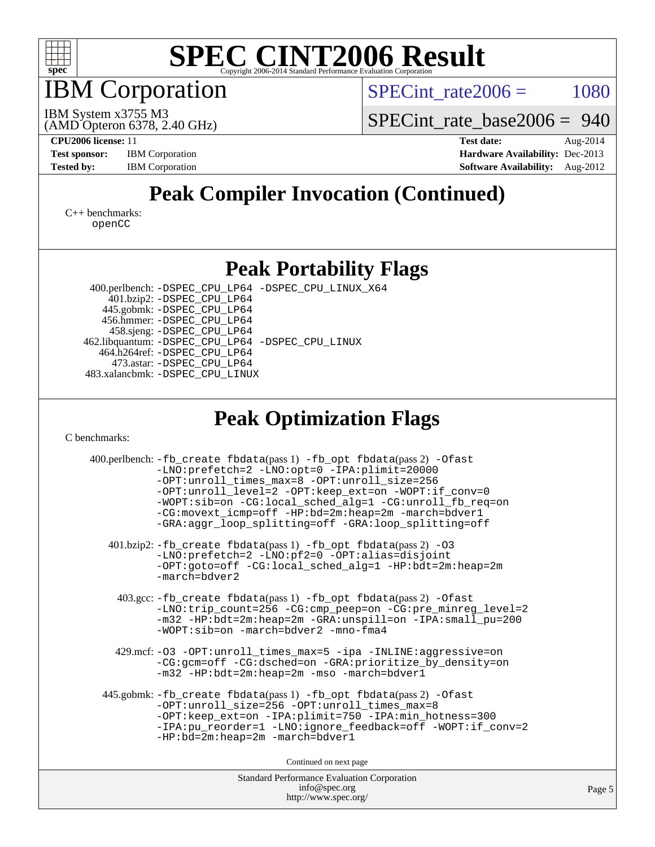

IBM Corporation

 $SPECTnt_rate2006 = 1080$ 

(AMD Opteron 6378, 2.40 GHz) IBM System x3755 M3

[SPECint\\_rate\\_base2006 =](http://www.spec.org/auto/cpu2006/Docs/result-fields.html#SPECintratebase2006) 940

**[CPU2006 license:](http://www.spec.org/auto/cpu2006/Docs/result-fields.html#CPU2006license)** 11 **[Test date:](http://www.spec.org/auto/cpu2006/Docs/result-fields.html#Testdate)** Aug-2014 **[Test sponsor:](http://www.spec.org/auto/cpu2006/Docs/result-fields.html#Testsponsor)** IBM Corporation **[Hardware Availability:](http://www.spec.org/auto/cpu2006/Docs/result-fields.html#HardwareAvailability)** Dec-2013 **[Tested by:](http://www.spec.org/auto/cpu2006/Docs/result-fields.html#Testedby)** IBM Corporation **[Software Availability:](http://www.spec.org/auto/cpu2006/Docs/result-fields.html#SoftwareAvailability)** Aug-2012

### **[Peak Compiler Invocation \(Continued\)](http://www.spec.org/auto/cpu2006/Docs/result-fields.html#PeakCompilerInvocation)**

[C++ benchmarks:](http://www.spec.org/auto/cpu2006/Docs/result-fields.html#CXXbenchmarks) [openCC](http://www.spec.org/cpu2006/results/res2014q3/cpu2006-20140825-31012.flags.html#user_CXXpeak_FopenCC)

#### **[Peak Portability Flags](http://www.spec.org/auto/cpu2006/Docs/result-fields.html#PeakPortabilityFlags)**

 400.perlbench: [-DSPEC\\_CPU\\_LP64](http://www.spec.org/cpu2006/results/res2014q3/cpu2006-20140825-31012.flags.html#b400.perlbench_peakPORTABILITY_DSPEC_CPU_LP64) [-DSPEC\\_CPU\\_LINUX\\_X64](http://www.spec.org/cpu2006/results/res2014q3/cpu2006-20140825-31012.flags.html#b400.perlbench_peakCPORTABILITY_DSPEC_CPU_LINUX_X64) 401.bzip2: [-DSPEC\\_CPU\\_LP64](http://www.spec.org/cpu2006/results/res2014q3/cpu2006-20140825-31012.flags.html#suite_peakPORTABILITY401_bzip2_DSPEC_CPU_LP64) 445.gobmk: [-DSPEC\\_CPU\\_LP64](http://www.spec.org/cpu2006/results/res2014q3/cpu2006-20140825-31012.flags.html#suite_peakPORTABILITY445_gobmk_DSPEC_CPU_LP64) 456.hmmer: [-DSPEC\\_CPU\\_LP64](http://www.spec.org/cpu2006/results/res2014q3/cpu2006-20140825-31012.flags.html#suite_peakPORTABILITY456_hmmer_DSPEC_CPU_LP64) 458.sjeng: [-DSPEC\\_CPU\\_LP64](http://www.spec.org/cpu2006/results/res2014q3/cpu2006-20140825-31012.flags.html#suite_peakPORTABILITY458_sjeng_DSPEC_CPU_LP64) 462.libquantum: [-DSPEC\\_CPU\\_LP64](http://www.spec.org/cpu2006/results/res2014q3/cpu2006-20140825-31012.flags.html#suite_peakPORTABILITY462_libquantum_DSPEC_CPU_LP64) [-DSPEC\\_CPU\\_LINUX](http://www.spec.org/cpu2006/results/res2014q3/cpu2006-20140825-31012.flags.html#b462.libquantum_peakCPORTABILITY_DSPEC_CPU_LINUX) 464.h264ref: [-DSPEC\\_CPU\\_LP64](http://www.spec.org/cpu2006/results/res2014q3/cpu2006-20140825-31012.flags.html#suite_peakPORTABILITY464_h264ref_DSPEC_CPU_LP64) 473.astar: [-DSPEC\\_CPU\\_LP64](http://www.spec.org/cpu2006/results/res2014q3/cpu2006-20140825-31012.flags.html#suite_peakPORTABILITY473_astar_DSPEC_CPU_LP64) 483.xalancbmk: [-DSPEC\\_CPU\\_LINUX](http://www.spec.org/cpu2006/results/res2014q3/cpu2006-20140825-31012.flags.html#b483.xalancbmk_peakCXXPORTABILITY_DSPEC_CPU_LINUX)

#### **[Peak Optimization Flags](http://www.spec.org/auto/cpu2006/Docs/result-fields.html#PeakOptimizationFlags)**

[C benchmarks](http://www.spec.org/auto/cpu2006/Docs/result-fields.html#Cbenchmarks):

| 400.perlbench: -fb_create fbdata(pass 1) -fb_opt fbdata(pass 2) -Ofast<br>-LNO:prefetch=2 -LNO:opt=0 -IPA:plimit=20000<br>-OPT:unroll_times_max=8 -OPT:unroll_size=256<br>-OPT:unroll_level=2 -OPT:keep_ext=on -WOPT:if_conv=0<br>-WOPT:sib=on -CG:local_sched_alg=1 -CG:unroll_fb_req=on<br>-CG:movext_icmp=off -HP:bd=2m:heap=2m -march=bdver1<br>-GRA:aggr_loop_splitting=off -GRA:loop_splitting=off |  |  |  |  |
|----------------------------------------------------------------------------------------------------------------------------------------------------------------------------------------------------------------------------------------------------------------------------------------------------------------------------------------------------------------------------------------------------------|--|--|--|--|
| 401.bzip2: -fb_create fbdata(pass 1) -fb_opt fbdata(pass 2) -03<br>-LNO:prefetch=2 -LNO:pf2=0 -OPT:alias=disjoint<br>-OPT:goto=off -CG:local_sched_alg=1 -HP:bdt=2m:heap=2m<br>$-march =$ bdver $2$                                                                                                                                                                                                      |  |  |  |  |
| 403.gcc: -fb_create fbdata(pass 1) -fb_opt fbdata(pass 2) -Ofast<br>-LNO:trip_count=256 -CG:cmp_peep=on -CG:pre_minreg_level=2<br>-m32 -HP:bdt=2m:heap=2m -GRA:unspill=on -IPA:small_pu=200<br>$-WOPT: sib=on -march=bdver2 -mno-fma4$                                                                                                                                                                   |  |  |  |  |
| 429.mcf: -03 -OPT:unroll_times_max=5 -ipa -INLINE:aggressive=on<br>-CG:gcm=off -CG:dsched=on -GRA:prioritize_by_density=on<br>-m32 -HP:bdt=2m:heap=2m -mso -march=bdver1                                                                                                                                                                                                                                 |  |  |  |  |
| 445.gobmk: -fb_create fbdata(pass 1) -fb_opt fbdata(pass 2) -Ofast<br>-OPT:unroll_size=256 -OPT:unroll_times_max=8<br>-OPT:keep_ext=on -IPA:plimit=750 -IPA:min_hotness=300<br>-IPA:pu_reorder=1 -LNO:ignore_feedback=off -WOPT:if_conv=2<br>$-HP:bd=2m:heap=2m -march=bdver1$                                                                                                                           |  |  |  |  |
| Continued on next page                                                                                                                                                                                                                                                                                                                                                                                   |  |  |  |  |
| <b>Standard Performance Evaluation Corporation</b>                                                                                                                                                                                                                                                                                                                                                       |  |  |  |  |

[info@spec.org](mailto:info@spec.org) <http://www.spec.org/>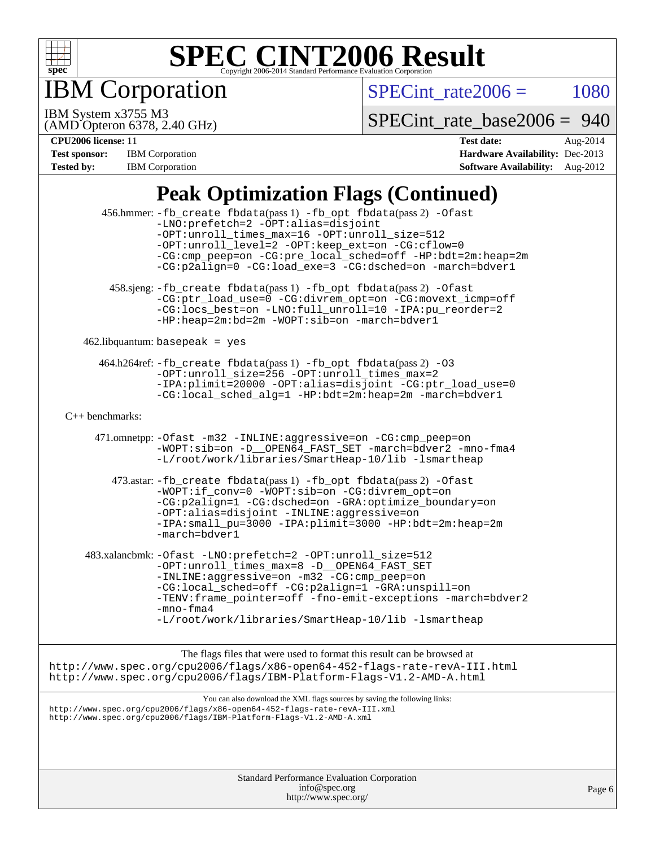

IBM Corporation

 $SPECTnt_rate2006 = 1080$ 

(AMD Opteron 6378, 2.40 GHz) IBM System x3755 M3

[SPECint\\_rate\\_base2006 =](http://www.spec.org/auto/cpu2006/Docs/result-fields.html#SPECintratebase2006) 940

| <b>Test sponsor:</b> | <b>IBM</b> Corporation |
|----------------------|------------------------|
| <b>Tested by:</b>    | <b>IBM</b> Corporation |

**[CPU2006 license:](http://www.spec.org/auto/cpu2006/Docs/result-fields.html#CPU2006license)** 11 **[Test date:](http://www.spec.org/auto/cpu2006/Docs/result-fields.html#Testdate)** Aug-2014 **[Hardware Availability:](http://www.spec.org/auto/cpu2006/Docs/result-fields.html#HardwareAvailability)** Dec-2013 **[Software Availability:](http://www.spec.org/auto/cpu2006/Docs/result-fields.html#SoftwareAvailability)** Aug-2012

## **[Peak Optimization Flags \(Continued\)](http://www.spec.org/auto/cpu2006/Docs/result-fields.html#PeakOptimizationFlags)**

|                   | $\blacksquare$ can openingation $\blacksquare$ nigo (continued)                                                                                                                                                                                                                                                                                   |        |
|-------------------|---------------------------------------------------------------------------------------------------------------------------------------------------------------------------------------------------------------------------------------------------------------------------------------------------------------------------------------------------|--------|
|                   | 456.hmmer: -fb_create fbdata(pass 1) -fb_opt fbdata(pass 2) -Ofast<br>-LNO: prefetch=2 -OPT: alias=disjoint<br>-OPT: unroll times max=16 -OPT: unroll size=512<br>-OPT:unroll_level=2 -OPT:keep_ext=on -CG:cflow=0<br>-CG:cmp_peep=on -CG:pre_local_sched=off -HP:bdt=2m:heap=2m<br>-CG:p2align=0 -CG:load_exe=3 -CG:dsched=on -march=bdver1      |        |
|                   | 458.sjeng: -fb_create fbdata(pass 1) -fb_opt fbdata(pass 2) -Ofast<br>-CG:ptr_load_use=0 -CG:divrem_opt=on -CG:movext_icmp=off<br>-CG:locs_best=on -LNO:full_unroll=10 -IPA:pu_reorder=2<br>-HP:heap=2m:bd=2m -WOPT:sib=on -march=bdver1                                                                                                          |        |
|                   | $462$ .libquantum: basepeak = yes                                                                                                                                                                                                                                                                                                                 |        |
|                   | 464.h264ref: -fb_create fbdata(pass 1) -fb_opt fbdata(pass 2) -03<br>-OPT:unroll_size=256 -OPT:unroll_times_max=2<br>-IPA:plimit=20000 -OPT:alias=disjoint -CG:ptr_load_use=0<br>-CG:local_sched_alg=1 -HP:bdt=2m:heap=2m -march=bdver1                                                                                                           |        |
| $C++$ benchmarks: |                                                                                                                                                                                                                                                                                                                                                   |        |
|                   | 471.omnetpp: - Ofast -m32 - INLINE: aggressive=on - CG: cmp_peep=on<br>-WOPT:sib=on -D__OPEN64_FAST_SET -march=bdver2 -mno-fma4<br>-L/root/work/libraries/SmartHeap-10/lib -lsmartheap                                                                                                                                                            |        |
|                   | 473.astar: -fb_create fbdata(pass 1) -fb_opt fbdata(pass 2) -Ofast<br>-WOPT:if_conv=0 -WOPT:sib=on -CG:divrem_opt=on<br>-CG:p2align=1 -CG:dsched=on -GRA:optimize_boundary=on<br>-OPT:alias=disjoint -INLINE:aggressive=on<br>-IPA: small_pu=3000 -IPA: plimit=3000 -HP: bdt=2m: heap=2m<br>-march=bdver1                                         |        |
|                   | 483.xalancbmk: -Ofast -LNO:prefetch=2 -OPT:unroll_size=512<br>-OPT:unroll_times_max=8 -D__OPEN64_FAST_SET<br>-INLINE:aggressive=on -m32 -CG:cmp_peep=on<br>-CG:local_sched=off -CG:p2align=1 -GRA:unspill=on<br>-TENV: frame_pointer=off -fno-emit-exceptions -march=bdver2<br>$-mno-fma4$<br>-L/root/work/libraries/SmartHeap-10/lib -lsmartheap |        |
|                   | The flags files that were used to format this result can be browsed at<br>http://www.spec.org/cpu2006/flags/x86-open64-452-flags-rate-revA-III.html<br>http://www.spec.org/cpu2006/flags/IBM-Platform-Flags-V1.2-AMD-A.html                                                                                                                       |        |
|                   | You can also download the XML flags sources by saving the following links:<br>http://www.spec.org/cpu2006/flags/x86-open64-452-flags-rate-revA-III.xml<br>http://www.spec.org/cpu2006/flags/IBM-Platform-Flags-V1.2-AMD-A.xml                                                                                                                     |        |
|                   | Standard Performance Evaluation Corporation<br>info@spec.org<br>http://www.spec.org/                                                                                                                                                                                                                                                              | Page 6 |